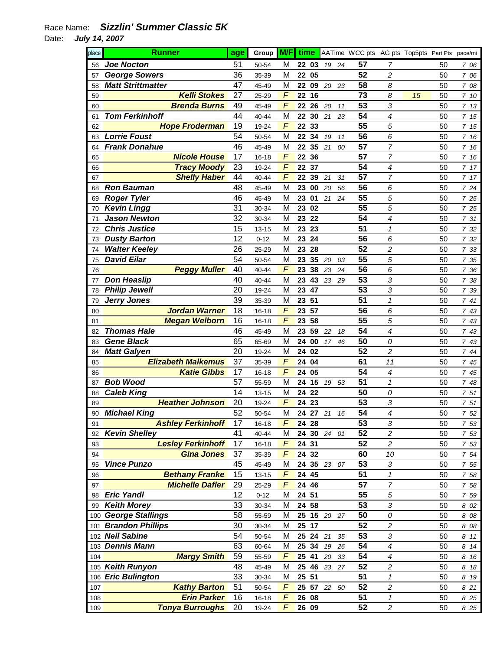| place | <b>Runner</b>             | age | Group M/F time |   |             |    |          | AATime WCC pts AG pts Top5pts Part.Pts pace/mi |                         |    |    |      |
|-------|---------------------------|-----|----------------|---|-------------|----|----------|------------------------------------------------|-------------------------|----|----|------|
| 56    | <b>Joe Nocton</b>         | 51  | 50-54          | м | 22 03       |    | 24<br>19 | 57                                             | 7                       |    | 50 | 7 06 |
| 57    | <b>George Sowers</b>      | 36  | 35-39          | M | 05<br>22    |    |          | 52                                             | $\overline{c}$          |    | 50 | 7 06 |
| 58    | <b>Matt Strittmatter</b>  | 47  | 45-49          | M | 22 09       |    | 20<br>23 | 58                                             | 8                       |    | 50 | 7 08 |
| 59    | <b>Kelli Stokes</b>       | 27  | 25-29          | F | 22 16       |    |          | 73                                             | 8                       | 15 | 50 | 7 10 |
| 60    | <b>Brenda Burns</b>       | 49  | 45-49          | F | 22<br>26    | 20 | 11       | 53                                             | 3                       |    | 50 | 7 13 |
| 61    | <b>Tom Ferkinhoff</b>     | 44  | 40-44          | M | 22<br>30    | 21 | 23       | 54                                             | $\overline{4}$          |    | 50 | 7 15 |
| 62    | <b>Hope Froderman</b>     | 19  | 19-24          | F | 22<br>33    |    |          | 55                                             | 5                       |    | 50 | 7 15 |
| 63    | <b>Lorrie Foust</b>       | 54  | 50-54          | M | 22<br>34    |    | 19<br>11 | 56                                             | 6                       |    | 50 | 7.16 |
| 64    | <b>Frank Donahue</b>      | 46  | 45-49          | M | 22<br>35    | 21 | 00       | 57                                             | $\overline{7}$          |    | 50 | 7 16 |
| 65    | <b>Nicole House</b>       | 17  | $16 - 18$      | F | 22<br>36    |    |          | 57                                             | 7                       |    | 50 | 7 16 |
| 66    | <b>Tracy Moody</b>        | 23  | 19-24          | F | 22 37       |    |          | 54                                             | $\overline{4}$          |    | 50 | 7 17 |
| 67    | <b>Shelly Haber</b>       | 44  | 40-44          | F | 22<br>39    | 21 | 31       | 57                                             | 7                       |    | 50 | 7 17 |
| 68    | <b>Ron Bauman</b>         | 48  | 45-49          | M | 00<br>23    |    | 20<br>56 | 56                                             | 6                       |    | 50 | 7 24 |
| 69    | <b>Roger Tyler</b>        | 46  | 45-49          | M | 23<br>01    |    | 21<br>24 | 55                                             | 5                       |    | 50 | 7 25 |
| 70    | <b>Kevin Lingg</b>        | 31  | 30-34          | M | 23<br>02    |    |          | 55                                             | 5                       |    | 50 | 7 25 |
| 71    | <b>Jason Newton</b>       | 32  | 30-34          | M | 22<br>23    |    |          | 54                                             | $\overline{4}$          |    | 50 | 7 31 |
| 72    | <b>Chris Justice</b>      | 15  | $13 - 15$      | M | 23<br>23    |    |          | 51                                             | $\mathcal I$            |    | 50 | 7 32 |
| 73    | <b>Dusty Barton</b>       | 12  | $0 - 12$       | M | 23<br>24    |    |          | 56                                             | 6                       |    | 50 | 7 32 |
| 74    | <b>Walter Keeley</b>      | 26  | 25-29          | M | 23<br>28    |    |          | 52                                             | 2                       |    | 50 | 7 33 |
| 75    | <b>David Eilar</b>        | 54  | 50-54          | M | 35<br>23    |    | 20<br>03 | 55                                             | 5                       |    | 50 | 7 35 |
| 76    | <b>Peggy Muller</b>       | 40  | 40-44          | F | 23<br>38    |    | 23<br>24 | 56                                             | 6                       |    | 50 | 7 36 |
| 77    | <b>Don Heaslip</b>        | 40  | 40-44          | M | 43<br>23    | 23 | 29       | 53                                             | 3                       |    | 50 | 7 38 |
| 78    | <b>Philip Jewell</b>      | 20  | 19-24          | M | 47<br>23    |    |          | 53                                             | 3                       |    | 50 | 7 39 |
| 79    | <b>Jerry Jones</b>        | 39  | 35-39          | M | 51<br>23    |    |          | 51                                             | $\overline{1}$          |    | 50 | 741  |
| 80    | <b>Jordan Warner</b>      | 18  | 16-18          | F | 57<br>23    |    |          | 56                                             | 6                       |    | 50 | 7 43 |
| 81    | <b>Megan Welborn</b>      | 16  | $16 - 18$      | F | 23<br>58    |    |          | 55                                             | 5                       |    | 50 | 7 43 |
| 82    | <b>Thomas Hale</b>        | 46  | 45-49          | M | 59<br>23    | 22 | 18       | 54                                             | $\boldsymbol{4}$        |    | 50 | 7 43 |
| 83    | <b>Gene Black</b>         | 65  | 65-69          | M | 24<br>00    |    | 17<br>46 | 50                                             | 0                       |    | 50 | 7 43 |
| 84    | <b>Matt Galyen</b>        | 20  | 19-24          | M | 24<br>02    |    |          | 52                                             | 2                       |    | 50 | 7 44 |
| 85    | <b>Elizabeth Malkemus</b> | 37  | 35-39          | F | 24<br>04    |    |          | 61                                             | 11                      |    | 50 | 7 45 |
| 86    | <b>Katie Gibbs</b>        | 17  | 16-18          | F | 05<br>24    |    |          | 54                                             | 4                       |    | 50 | 7 45 |
| 87    | <b>Bob Wood</b>           | 57  | 55-59          | M | 24<br>15    |    | 19<br>53 | 51                                             | $\mathcal I$            |    | 50 | 7 48 |
| 88    | <b>Caleb King</b>         | 14  | $13 - 15$      | M | 22<br>24    |    |          | 50                                             | 0                       |    | 50 | 751  |
| 89    | <b>Heather Johnson</b>    | 20  | 19-24          | F | 23<br>24    |    |          | 53                                             | 3                       |    | 50 | 7 51 |
| 90    | <b>Michael King</b>       | 52  | 50-54          | M | 24 27       | 21 | 16       | 54                                             | $\overline{4}$          |    | 50 | 7 52 |
| 91    | <b>Ashley Ferkinhoff</b>  | 17  | 16-18          | F | 24 28       |    |          | 53                                             | 3                       |    | 50 | 7 53 |
| 92    | <b>Kevin Shelley</b>      | 41  | 40-44          | M | 24 30 24 01 |    |          | 52                                             | $\overline{\mathbf{c}}$ |    | 50 | 7 53 |
| 93    | <b>Lesley Ferkinhoff</b>  | 17  | 16-18          | F | 24 31       |    |          | 52                                             | $\boldsymbol{2}$        |    | 50 | 7 53 |
| 94    | <b>Gina Jones</b>         | 37  | 35-39          | F | 24 32       |    |          | 60                                             | 10                      |    | 50 | 7 54 |
| 95    | <b>Vince Punzo</b>        | 45  | 45-49          | M | 24          |    | 35 23 07 | 53                                             | 3                       |    | 50 | 7 55 |
| 96    | <b>Bethany Franke</b>     | 15  | 13-15          | F | 45<br>24    |    |          | 51                                             | 1                       |    | 50 | 7 58 |
| 97    | <b>Michelle Dafler</b>    | 29  | 25-29          | F | 46<br>24    |    |          | 57                                             | $\overline{7}$          |    | 50 | 7 58 |
| 98    | <b>Eric Yandl</b>         | 12  | $0 - 12$       | M | 51<br>24    |    |          | 55                                             | 5                       |    | 50 | 7 59 |
| 99    | <b>Keith Morey</b>        | 33  | 30-34          | M | 24<br>58    |    |          | 53                                             | 3                       |    | 50 | 8 02 |
|       | 100 George Stallings      | 58  | 55-59          | M | 25 15 20    |    | 27       | 50                                             | 0                       |    | 50 | 8 08 |
|       | 101 Brandon Phillips      | 30  | 30-34          | M | 25<br>17    |    |          | 52                                             | $\overline{c}$          |    | 50 | 8 08 |
|       | 102 Neil Sabine           | 54  | 50-54          | M | 25<br>24    | 21 | 35       | 53                                             | 3                       |    | 50 | 8 11 |
|       | 103 Dennis Mann           | 63  | 60-64          | M | 25 34       |    | 19<br>26 | 54                                             | 4                       |    | 50 | 8 14 |
| 104   | <b>Margy Smith</b>        | 59  | 55-59          | F | 25<br>41    |    | 20<br>33 | 54                                             | 4                       |    | 50 | 8 16 |
|       | 105 Keith Runyon          | 48  | 45-49          | M | 46<br>25    |    | 23<br>27 | 52                                             | 2                       |    | 50 | 8 18 |
| 106   | <b>Eric Bulington</b>     | 33  | 30-34          | M | 25 51       |    |          | 51                                             | 1                       |    | 50 | 8 19 |
| 107   | <b>Kathy Barton</b>       | 51  | 50-54          | F | 25 57       |    | 22<br>50 | 52                                             | $\boldsymbol{2}$        |    | 50 | 8 21 |
| 108   | <b>Erin Parker</b>        | 16  | 16-18          | F | 26 08       |    |          | 51                                             | 1                       |    | 50 | 8 25 |
| 109   | <b>Tonya Burroughs</b>    | 20  | 19-24          | F | 26 09       |    |          | 52                                             | $\boldsymbol{2}$        |    | 50 | 8 25 |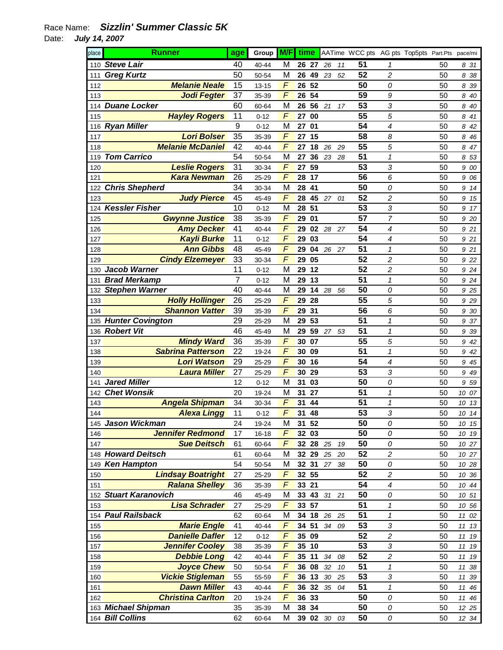| place | <b>Runner</b>            | age            | Group M/F |                | time            |                |             |    | AATime WCC pts AG pts Top5pts Part.Pts pace/mi |                          |    |          |
|-------|--------------------------|----------------|-----------|----------------|-----------------|----------------|-------------|----|------------------------------------------------|--------------------------|----|----------|
| 110   | <b>Steve Lair</b>        | 40             | 40-44     | M              |                 | 26 27          | 26          | 11 | 51                                             | 1                        | 50 | 831      |
| 111   | <b>Greg Kurtz</b>        | 50             | 50-54     | M              | 26              | 49             | 23          | 52 | 52                                             | $\overline{c}$           | 50 | 8<br>38  |
| 112   | <b>Melanie Neale</b>     | 15             | $13 - 15$ | F              | 26              | 52             |             |    | 50                                             | 0                        | 50 | 8<br>39  |
| 113   | <b>Jodi Fegter</b>       | 37             | 35-39     | F              | 26              | 54             |             |    | 59                                             | 9                        | 50 | 8<br>40  |
| 114   | <b>Duane Locker</b>      | 60             | 60-64     | M              | 26              | 56             | 21          | 17 | 53                                             | 3                        | 50 | 8 40     |
| 115   | <b>Hayley Rogers</b>     | 11             | $0 - 12$  | F              | 27              | 00             |             |    | 55                                             | 5                        | 50 | 8<br>41  |
|       | 116 Ryan Miller          | 9              | $0 - 12$  | M              | 27              | 01             |             |    | 54                                             | 4                        | 50 | 8<br>42  |
| 117   | <b>Lori Bolser</b>       | 35             | 35-39     | F              | 27              | 15             |             |    | 58                                             | 8                        | 50 | 8<br>46  |
| 118   | <b>Melanie McDaniel</b>  | 42             | 40-44     | F              | 27              | 18             | 26          | 29 | 55                                             | 5                        | 50 | 8<br>47  |
| 119   | <b>Tom Carrico</b>       | 54             | 50-54     | M              | 27              | 36             | 23          | 28 | 51                                             | $\mathcal I$             | 50 | 8 53     |
| 120   | <b>Leslie Rogers</b>     | 31             | 30-34     | F              | 27              | 59             |             |    | 53                                             | 3                        | 50 | 9 00     |
| 121   | <b>Kara Newman</b>       | 26             | 25-29     | F              | 28              | 17             |             |    | 56                                             | 6                        | 50 | 9<br>06  |
| 122   | <b>Chris Shepherd</b>    | 34             | 30-34     | M              | 28              | 41             |             |    | 50                                             | 0                        | 50 | 9<br>14  |
| 123   | <b>Judy Pierce</b>       | 45             | 45-49     | F              | 28              | 45             | 27          | 01 | 52                                             | $\overline{c}$           | 50 | 15<br>9  |
| 124   | <b>Kessler Fisher</b>    | 10             | $0 - 12$  | M              | 28              | 51             |             |    | 53                                             | 3                        | 50 | 9<br>17  |
| 125   | <b>Gwynne Justice</b>    | 38             | 35-39     | F              | 29              | 01             |             |    | 57                                             | 7                        | 50 | 9 20     |
| 126   | <b>Amy Decker</b>        | 41             | 40-44     | $\overline{F}$ | 29              | 02             | 28          | 27 | 54                                             | 4                        | 50 | 9 21     |
| 127   | <b>Kayli Burke</b>       | 11             | $0 - 12$  | $\overline{F}$ | 29              | 03             |             |    | 54                                             | 4                        | 50 | 9 21     |
| 128   | <b>Ann Gibbs</b>         | 48             | 45-49     | F              | 29              | 04             | 26          | 27 | 51                                             | $\mathcal I$             | 50 | 9 21     |
| 129   | <b>Cindy Elzemeyer</b>   | 33             | 30-34     | F              | 29              | 05             |             |    | 52                                             | $\overline{c}$           | 50 | 9 22     |
| 130   | <b>Jacob Warner</b>      | 11             | $0 - 12$  | M              | 29              | 12             |             |    | 52                                             | $\overline{\mathbf{c}}$  | 50 | 9 24     |
| 131   | <b>Brad Merkamp</b>      | $\overline{7}$ | $0 - 12$  | M              | 29              | 13             |             |    | 51                                             | $\mathcal I$             | 50 | 9 24     |
| 132   | <b>Stephen Warner</b>    | 40             | 40-44     | M              | 29              | 14             | 28          | 56 | 50                                             | 0                        | 50 | 9 25     |
| 133   | <b>Holly Hollinger</b>   | 26             | 25-29     | F              | 29              | 28             |             |    | 55                                             | 5                        | 50 | 9 2 9    |
| 134   | <b>Shannon Vatter</b>    | 39             | 35-39     | F              | 29              | 31             |             |    | 56                                             | 6                        | 50 | 9<br>30  |
| 135   | <b>Hunter Covington</b>  | 29             | 25-29     | M              | 29              | 53             |             |    | 51                                             | $\mathcal I$             | 50 | 9<br>37  |
| 136   | <b>Robert Vit</b>        | 46             | 45-49     | M              | 29              | 59             | 27          | 53 | 51                                             | $\mathcal I$             | 50 | 39<br>9  |
| 137   | <b>Mindy Ward</b>        | 36             | 35-39     | F              | 30              | 07             |             |    | 55                                             | 5                        | 50 | 42<br>9  |
| 138   | <b>Sabrina Patterson</b> | 22             | 19-24     | F              | 30              | 09             |             |    | 51                                             | $\mathcal I$             | 50 | 9<br>42  |
| 139   | <b>Lori Watson</b>       | 29             | 25-29     | F              | 30              | 16             |             |    | 54                                             | 4                        | 50 | 9 45     |
| 140   | <b>Laura Miller</b>      | 27             | 25-29     | F              | 30              | 29             |             |    | 53                                             | 3                        | 50 | 9<br>49  |
| 141   | <b>Jared Miller</b>      | 12             | $0 - 12$  | M              | 31              | 03             |             |    | 50                                             | 0                        | 50 | 9 59     |
| 142   | <b>Chet Wonsik</b>       | 20             | 19-24     | M              | 31              | 27             |             |    | 51                                             | $\mathcal I$             | 50 | 10 07    |
| 143   | <b>Angela Shipman</b>    | 34             | 30-34     | F              | 31              | 44             |             |    | 51                                             | $\mathcal I$             | 50 | 10<br>13 |
| 144   | <b>Alexa Lingg</b>       | 11             | $0 - 12$  | F              | 31              | 48             |             |    | 53                                             | 3                        | 50 | 10 14    |
| 145   | Jason Wickman            | 24             | 19-24     | M              | 31              | 52             |             |    | 50                                             | 0                        | 50 | 10 15    |
| 146   | <b>Jennifer Redmond</b>  | 17             | 16-18     | F              |                 | 32 03          |             |    | 50                                             | 0                        | 50 | 10 19    |
| 147   | <b>Sue Deitsch</b>       | 61             | 60-64     | F              |                 | 32 28          | 25          | 19 | 50                                             | 0                        | 50 | 10 27    |
|       | 148 Howard Deitsch       | 61             | 60-64     | M              |                 | 32 29          | 25          | 20 | 52                                             | 2                        | 50 | 10 27    |
|       | 149 Ken Hampton          | 54             | 50-54     | M              |                 | 32 31          | 27          | 38 | 50                                             | 0                        | 50 | 10 28    |
| 150   | <b>Lindsay Boatright</b> | 27             | 25-29     | F              |                 | 32 55          |             |    | 52                                             | $\boldsymbol{2}$         | 50 | 10 36    |
| 151   | <b>Ralana Shelley</b>    | 36             | 35-39     | $\overline{F}$ | 33 <sub>°</sub> | 21             |             |    | 54                                             | $\overline{\mathcal{A}}$ | 50 | 10 44    |
|       | 152 Stuart Karanovich    | 46             | 45-49     | M              |                 | 33 43          | 31          | 21 | 50                                             | 0                        | 50 | 10 51    |
| 153   | <b>Lisa Schrader</b>     | 27             |           | F              |                 | 33 57          |             |    | 51                                             | $\pmb{\mathcal{1}}$      | 50 |          |
|       | 154 Paul Railsback       | 62             | 25-29     | M              | 34              | 18             |             |    | 51                                             | $\mathbf{1}$             | 50 | 10 56    |
|       | <b>Marie Engle</b>       |                | 60-64     | F              |                 |                | 26          | 25 | 53                                             |                          |    | 11 02    |
| 155   | <b>Danielle Dafler</b>   | 41             | 40-44     | F              |                 | 34 51<br>35 09 | 34          | 09 | 52                                             | 3                        | 50 | 11 13    |
| 156   |                          | 12             | $0 - 12$  |                |                 |                |             |    |                                                | $\boldsymbol{2}$         | 50 | 11 19    |
| 157   | <b>Jennifer Cooley</b>   | 38             | 35-39     | F              | 35              | 10             |             |    | 53<br>52                                       | 3                        | 50 | 11 19    |
| 158   | <b>Debbie Long</b>       | 42             | 40-44     | F              | 35              | 11             | 34          | 08 |                                                | $\boldsymbol{2}$         | 50 | 11 19    |
| 159   | <b>Joyce Chew</b>        | 50             | 50-54     | F              | 36              | 08             | 32          | 10 | 51                                             | 1                        | 50 | 11<br>38 |
| 160   | <b>Vickie Stigleman</b>  | 55             | 55-59     | F              | 36              | 13             | $30\,$      | 25 | 53                                             | 3                        | 50 | 11<br>39 |
| 161   | <b>Dawn Miller</b>       | 43             | 40-44     | F              | 36              | 32             | 35          | 04 | 51                                             | $\mathbf{1}$             | 50 | 11<br>46 |
| 162   | <b>Christina Carlton</b> | 20             | 19-24     | F              |                 | 36 33          |             |    | 50                                             | 0                        | 50 | 11 46    |
|       | 163 Michael Shipman      | 35             | 35-39     | M              |                 | 38 34          |             |    | 50                                             | 0                        | 50 | 12 25    |
|       | 164 Bill Collins         | 62             | 60-64     | M              |                 |                | 39 02 30 03 |    | 50                                             | ${\cal O}$               | 50 | 12 34    |